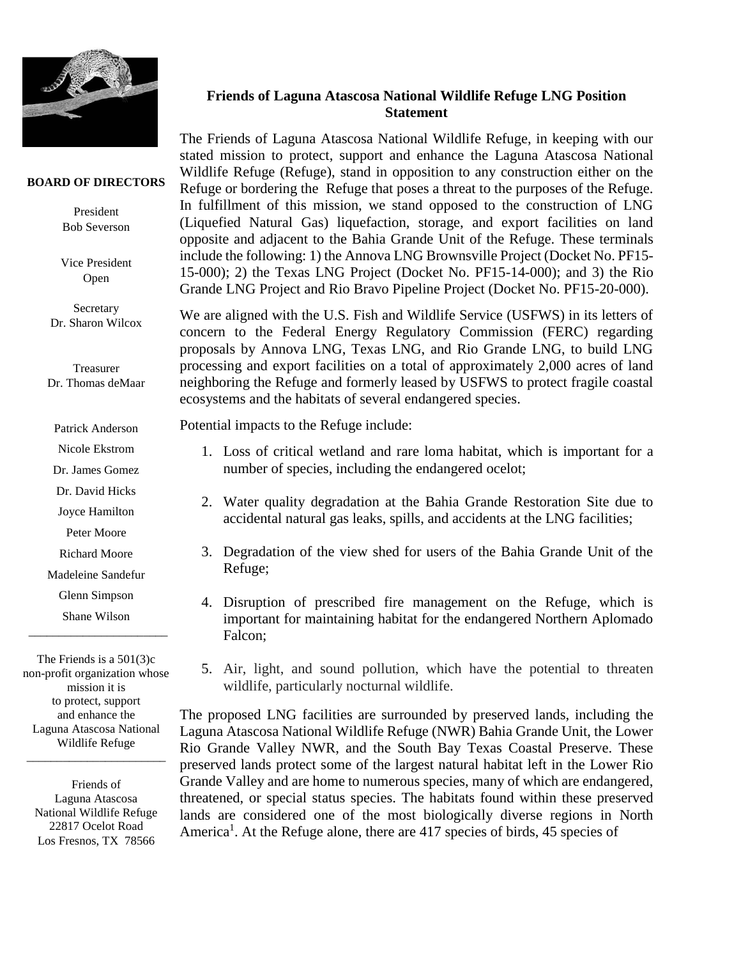

## **BOARD OF DIRECTORS**

President Bob Severson

Vice President Open

Secretary Dr. Sharon Wilcox

Treasurer Dr. Thomas deMaar

Patrick Anderson

Nicole Ekstrom

Dr. James Gomez

Dr. David Hicks

Joyce Hamilton

Peter Moore

Richard Moore

Madeleine Sandefur

Glenn Simpson

Shane Wilson  $\frac{1}{2}$  , and the set of the set of the set of the set of the set of the set of the set of the set of the set of the set of the set of the set of the set of the set of the set of the set of the set of the set of the set

The Friends is a 501(3)c non-profit organization whose mission it is to protect, support and enhance the Laguna Atascosa National Wildlife Refuge

\_\_\_\_\_\_\_\_\_\_\_\_\_\_\_\_\_\_\_\_\_\_\_

Friends of Laguna Atascosa National Wildlife Refuge 22817 Ocelot Road Los Fresnos, TX 78566

## **Friends of Laguna Atascosa National Wildlife Refuge LNG Position Statement**

The Friends of Laguna Atascosa National Wildlife Refuge, in keeping with our stated mission to protect, support and enhance the Laguna Atascosa National Wildlife Refuge (Refuge), stand in opposition to any construction either on the Refuge or bordering the Refuge that poses a threat to the purposes of the Refuge. In fulfillment of this mission, we stand opposed to the construction of LNG (Liquefied Natural Gas) liquefaction, storage, and export facilities on land opposite and adjacent to the Bahia Grande Unit of the Refuge. These terminals include the following: 1) the Annova LNG Brownsville Project (Docket No. PF15- 15-000); 2) the Texas LNG Project (Docket No. PF15-14-000); and 3) the Rio Grande LNG Project and Rio Bravo Pipeline Project (Docket No. PF15-20-000).

We are aligned with the U.S. Fish and Wildlife Service (USFWS) in its letters of concern to the Federal Energy Regulatory Commission (FERC) regarding proposals by Annova LNG, Texas LNG, and Rio Grande LNG, to build LNG processing and export facilities on a total of approximately 2,000 acres of land neighboring the Refuge and formerly leased by USFWS to protect fragile coastal ecosystems and the habitats of several endangered species.

Potential impacts to the Refuge include:

- 1. Loss of critical wetland and rare loma habitat, which is important for a number of species, including the endangered ocelot;
- 2. Water quality degradation at the Bahia Grande Restoration Site due to accidental natural gas leaks, spills, and accidents at the LNG facilities;
- 3. Degradation of the view shed for users of the Bahia Grande Unit of the Refuge;
- 4. Disruption of prescribed fire management on the Refuge, which is important for maintaining habitat for the endangered Northern Aplomado Falcon;
- 5. Air, light, and sound pollution, which have the potential to threaten wildlife, particularly nocturnal wildlife.

The proposed LNG facilities are surrounded by preserved lands, including the Laguna Atascosa National Wildlife Refuge (NWR) Bahia Grande Unit, the Lower Rio Grande Valley NWR, and the South Bay Texas Coastal Preserve. These preserved lands protect some of the largest natural habitat left in the Lower Rio Grande Valley and are home to numerous species, many of which are endangered, threatened, or special status species. The habitats found within these preserved lands are considered one of the most biologically diverse regions in North America<sup>1</sup>. At the Refuge alone, there are 417 species of birds, 45 species of